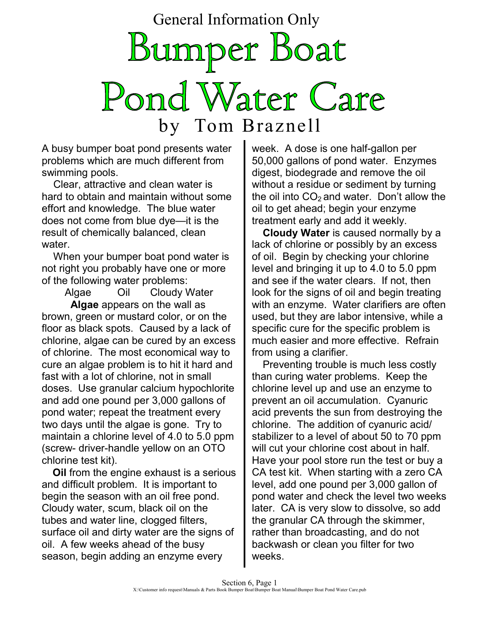General Information Only

Bumper Boat Pond Water Care by Tom Braznell

A busy bumper boat pond presents water problems which are much different from swimming pools.

 Clear, attractive and clean water is hard to obtain and maintain without some effort and knowledge. The blue water does not come from blue dye—it is the result of chemically balanced, clean water.

 When your bumper boat pond water is not right you probably have one or more of the following water problems:

Algae Oil Cloudy Water **Algae** appears on the wall as brown, green or mustard color, or on the floor as black spots. Caused by a lack of chlorine, algae can be cured by an excess of chlorine. The most economical way to cure an algae problem is to hit it hard and fast with a lot of chlorine, not in small doses. Use granular calcium hypochlorite and add one pound per 3,000 gallons of pond water; repeat the treatment every two days until the algae is gone. Try to maintain a chlorine level of 4.0 to 5.0 ppm (screw- driver-handle yellow on an OTO chlorine test kit).

**Oil** from the engine exhaust is a serious and difficult problem. It is important to begin the season with an oil free pond. Cloudy water, scum, black oil on the tubes and water line, clogged filters, surface oil and dirty water are the signs of oil. A few weeks ahead of the busy season, begin adding an enzyme every

week. A dose is one half-gallon per 50,000 gallons of pond water. Enzymes digest, biodegrade and remove the oil without a residue or sediment by turning the oil into  $CO<sub>2</sub>$  and water. Don't allow the oil to get ahead; begin your enzyme treatment early and add it weekly.

**Cloudy Water** is caused normally by a lack of chlorine or possibly by an excess of oil. Begin by checking your chlorine level and bringing it up to 4.0 to 5.0 ppm and see if the water clears. If not, then look for the signs of oil and begin treating with an enzyme. Water clarifiers are often used, but they are labor intensive, while a specific cure for the specific problem is much easier and more effective. Refrain from using a clarifier.

Preventing trouble is much less costly than curing water problems. Keep the chlorine level up and use an enzyme to prevent an oil accumulation. Cyanuric acid prevents the sun from destroying the chlorine. The addition of cyanuric acid/ stabilizer to a level of about 50 to 70 ppm will cut your chlorine cost about in half. Have your pool store run the test or buy a CA test kit. When starting with a zero CA level, add one pound per 3,000 gallon of pond water and check the level two weeks later. CA is very slow to dissolve, so add the granular CA through the skimmer, rather than broadcasting, and do not backwash or clean you filter for two weeks.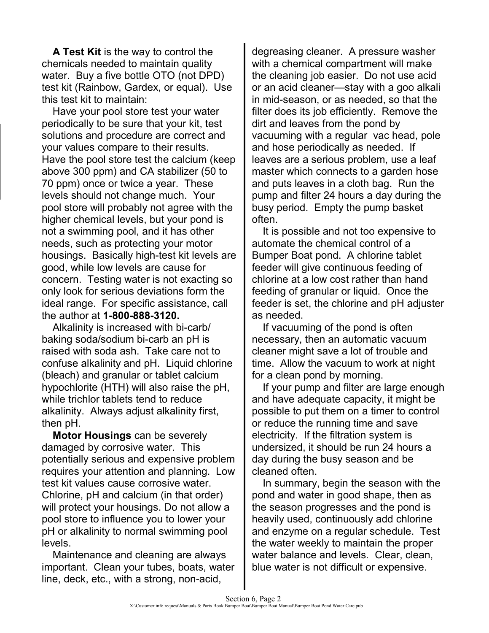**A Test Kit** is the way to control the chemicals needed to maintain quality water. Buy a five bottle OTO (not DPD) test kit (Rainbow, Gardex, or equal). Use this test kit to maintain:

Have your pool store test your water periodically to be sure that your kit, test solutions and procedure are correct and your values compare to their results. Have the pool store test the calcium (keep above 300 ppm) and CA stabilizer (50 to 70 ppm) once or twice a year. These levels should not change much. Your pool store will probably not agree with the higher chemical levels, but your pond is not a swimming pool, and it has other needs, such as protecting your motor housings. Basically high-test kit levels are good, while low levels are cause for concern. Testing water is not exacting so only look for serious deviations form the ideal range. For specific assistance, call the author at **1-800-888-3120.**

Alkalinity is increased with bi-carb/ baking soda/sodium bi-carb an pH is raised with soda ash. Take care not to confuse alkalinity and pH. Liquid chlorine (bleach) and granular or tablet calcium hypochlorite (HTH) will also raise the pH, while trichlor tablets tend to reduce alkalinity. Always adjust alkalinity first, then pH.

**Motor Housings** can be severely damaged by corrosive water. This potentially serious and expensive problem requires your attention and planning. Low test kit values cause corrosive water. Chlorine, pH and calcium (in that order) will protect your housings. Do not allow a pool store to influence you to lower your pH or alkalinity to normal swimming pool levels.

Maintenance and cleaning are always important. Clean your tubes, boats, water line, deck, etc., with a strong, non-acid,

degreasing cleaner. A pressure washer with a chemical compartment will make the cleaning job easier. Do not use acid or an acid cleaner—stay with a goo alkali in mid-season, or as needed, so that the filter does its job efficiently. Remove the dirt and leaves from the pond by vacuuming with a regular vac head, pole and hose periodically as needed. If leaves are a serious problem, use a leaf master which connects to a garden hose and puts leaves in a cloth bag. Run the pump and filter 24 hours a day during the busy period. Empty the pump basket often.

It is possible and not too expensive to automate the chemical control of a Bumper Boat pond. A chlorine tablet feeder will give continuous feeding of chlorine at a low cost rather than hand feeding of granular or liquid. Once the feeder is set, the chlorine and pH adjuster as needed.

If vacuuming of the pond is often necessary, then an automatic vacuum cleaner might save a lot of trouble and time. Allow the vacuum to work at night for a clean pond by morning.

If your pump and filter are large enough and have adequate capacity, it might be possible to put them on a timer to control or reduce the running time and save electricity. If the filtration system is undersized, it should be run 24 hours a day during the busy season and be cleaned often.

In summary, begin the season with the pond and water in good shape, then as the season progresses and the pond is heavily used, continuously add chlorine and enzyme on a regular schedule. Test the water weekly to maintain the proper water balance and levels. Clear, clean, blue water is not difficult or expensive.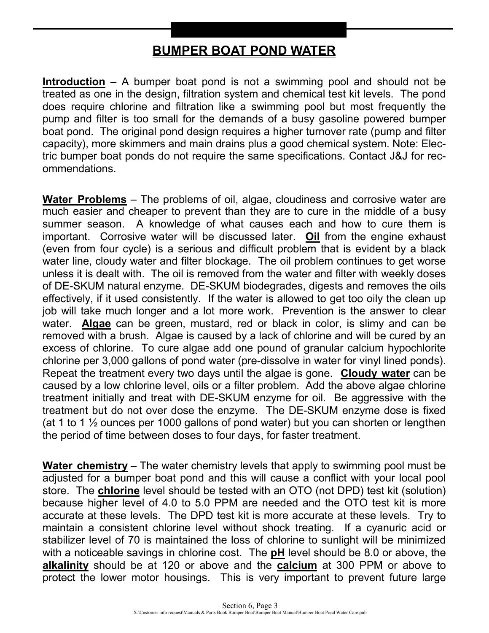#### **BUMPER BOAT POND WATER**

**Introduction** – A bumper boat pond is not a swimming pool and should not be treated as one in the design, filtration system and chemical test kit levels. The pond does require chlorine and filtration like a swimming pool but most frequently the pump and filter is too small for the demands of a busy gasoline powered bumper boat pond. The original pond design requires a higher turnover rate (pump and filter capacity), more skimmers and main drains plus a good chemical system. Note: Electric bumper boat ponds do not require the same specifications. Contact J&J for recommendations.

**Water Problems** – The problems of oil, algae, cloudiness and corrosive water are much easier and cheaper to prevent than they are to cure in the middle of a busy summer season. A knowledge of what causes each and how to cure them is important. Corrosive water will be discussed later. **Oil** from the engine exhaust (even from four cycle) is a serious and difficult problem that is evident by a black water line, cloudy water and filter blockage. The oil problem continues to get worse unless it is dealt with. The oil is removed from the water and filter with weekly doses of DE-SKUM natural enzyme. DE-SKUM biodegrades, digests and removes the oils effectively, if it used consistently. If the water is allowed to get too oily the clean up job will take much longer and a lot more work. Prevention is the answer to clear water. **Algae** can be green, mustard, red or black in color, is slimy and can be removed with a brush. Algae is caused by a lack of chlorine and will be cured by an excess of chlorine. To cure algae add one pound of granular calcium hypochlorite chlorine per 3,000 gallons of pond water (pre-dissolve in water for vinyl lined ponds). Repeat the treatment every two days until the algae is gone. **Cloudy water** can be caused by a low chlorine level, oils or a filter problem. Add the above algae chlorine treatment initially and treat with DE-SKUM enzyme for oil. Be aggressive with the treatment but do not over dose the enzyme. The DE-SKUM enzyme dose is fixed (at 1 to 1  $\frac{1}{2}$  ounces per 1000 gallons of pond water) but you can shorten or lengthen the period of time between doses to four days, for faster treatment.

**Water chemistry** – The water chemistry levels that apply to swimming pool must be adjusted for a bumper boat pond and this will cause a conflict with your local pool store. The **chlorine** level should be tested with an OTO (not DPD) test kit (solution) because higher level of 4.0 to 5.0 PPM are needed and the OTO test kit is more accurate at these levels. The DPD test kit is more accurate at these levels. Try to maintain a consistent chlorine level without shock treating. If a cyanuric acid or stabilizer level of 70 is maintained the loss of chlorine to sunlight will be minimized with a noticeable savings in chlorine cost. The **pH** level should be 8.0 or above, the **alkalinity** should be at 120 or above and the **calcium** at 300 PPM or above to protect the lower motor housings. This is very important to prevent future large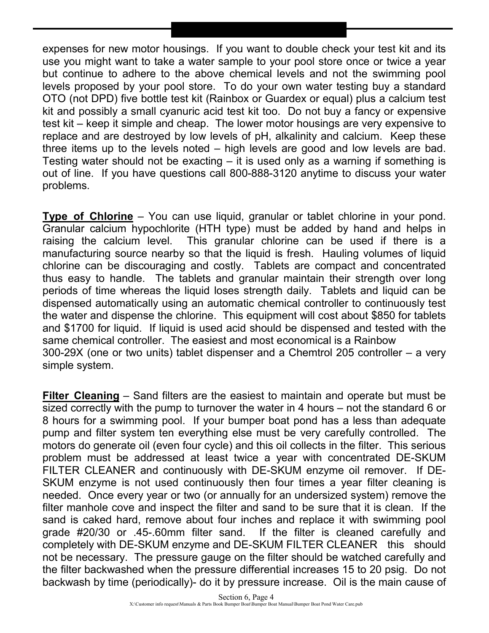expenses for new motor housings. If you want to double check your test kit and its use you might want to take a water sample to your pool store once or twice a year but continue to adhere to the above chemical levels and not the swimming pool levels proposed by your pool store. To do your own water testing buy a standard OTO (not DPD) five bottle test kit (Rainbox or Guardex or equal) plus a calcium test kit and possibly a small cyanuric acid test kit too. Do not buy a fancy or expensive test kit – keep it simple and cheap. The lower motor housings are very expensive to replace and are destroyed by low levels of pH, alkalinity and calcium. Keep these three items up to the levels noted – high levels are good and low levels are bad. Testing water should not be exacting – it is used only as a warning if something is out of line. If you have questions call 800-888-3120 anytime to discuss your water problems.

**Type of Chlorine** – You can use liquid, granular or tablet chlorine in your pond. Granular calcium hypochlorite (HTH type) must be added by hand and helps in raising the calcium level. This granular chlorine can be used if there is a manufacturing source nearby so that the liquid is fresh. Hauling volumes of liquid chlorine can be discouraging and costly. Tablets are compact and concentrated thus easy to handle. The tablets and granular maintain their strength over long periods of time whereas the liquid loses strength daily. Tablets and liquid can be dispensed automatically using an automatic chemical controller to continuously test the water and dispense the chlorine. This equipment will cost about \$850 for tablets and \$1700 for liquid. If liquid is used acid should be dispensed and tested with the same chemical controller. The easiest and most economical is a Rainbow 300-29X (one or two units) tablet dispenser and a Chemtrol 205 controller – a very simple system.

**Filter Cleaning** – Sand filters are the easiest to maintain and operate but must be sized correctly with the pump to turnover the water in 4 hours – not the standard 6 or 8 hours for a swimming pool. If your bumper boat pond has a less than adequate pump and filter system ten everything else must be very carefully controlled. The motors do generate oil (even four cycle) and this oil collects in the filter. This serious problem must be addressed at least twice a year with concentrated DE-SKUM FILTER CLEANER and continuously with DE-SKUM enzyme oil remover. If DE-SKUM enzyme is not used continuously then four times a year filter cleaning is needed. Once every year or two (or annually for an undersized system) remove the filter manhole cove and inspect the filter and sand to be sure that it is clean. If the sand is caked hard, remove about four inches and replace it with swimming pool grade #20/30 or .45-.60mm filter sand. If the filter is cleaned carefully and completely with DE-SKUM enzyme and DE-SKUM FILTER CLEANER this should not be necessary. The pressure gauge on the filter should be watched carefully and the filter backwashed when the pressure differential increases 15 to 20 psig. Do not backwash by time (periodically)- do it by pressure increase. Oil is the main cause of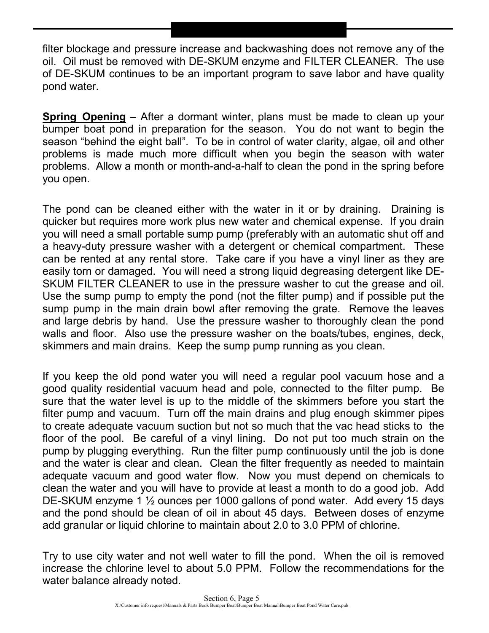filter blockage and pressure increase and backwashing does not remove any of the oil. Oil must be removed with DE-SKUM enzyme and FILTER CLEANER. The use of DE-SKUM continues to be an important program to save labor and have quality pond water.

**Spring Opening** – After a dormant winter, plans must be made to clean up your bumper boat pond in preparation for the season. You do not want to begin the season "behind the eight ball". To be in control of water clarity, algae, oil and other problems is made much more difficult when you begin the season with water problems. Allow a month or month-and-a-half to clean the pond in the spring before you open.

The pond can be cleaned either with the water in it or by draining. Draining is quicker but requires more work plus new water and chemical expense. If you drain you will need a small portable sump pump (preferably with an automatic shut off and a heavy-duty pressure washer with a detergent or chemical compartment. These can be rented at any rental store. Take care if you have a vinyl liner as they are easily torn or damaged. You will need a strong liquid degreasing detergent like DE-SKUM FILTER CLEANER to use in the pressure washer to cut the grease and oil. Use the sump pump to empty the pond (not the filter pump) and if possible put the sump pump in the main drain bowl after removing the grate. Remove the leaves and large debris by hand. Use the pressure washer to thoroughly clean the pond walls and floor. Also use the pressure washer on the boats/tubes, engines, deck, skimmers and main drains. Keep the sump pump running as you clean.

If you keep the old pond water you will need a regular pool vacuum hose and a good quality residential vacuum head and pole, connected to the filter pump. Be sure that the water level is up to the middle of the skimmers before you start the filter pump and vacuum. Turn off the main drains and plug enough skimmer pipes to create adequate vacuum suction but not so much that the vac head sticks to the floor of the pool. Be careful of a vinyl lining. Do not put too much strain on the pump by plugging everything. Run the filter pump continuously until the job is done and the water is clear and clean. Clean the filter frequently as needed to maintain adequate vacuum and good water flow. Now you must depend on chemicals to clean the water and you will have to provide at least a month to do a good job. Add DE-SKUM enzyme 1 ½ ounces per 1000 gallons of pond water. Add every 15 days and the pond should be clean of oil in about 45 days. Between doses of enzyme add granular or liquid chlorine to maintain about 2.0 to 3.0 PPM of chlorine.

Try to use city water and not well water to fill the pond. When the oil is removed increase the chlorine level to about 5.0 PPM. Follow the recommendations for the water balance already noted.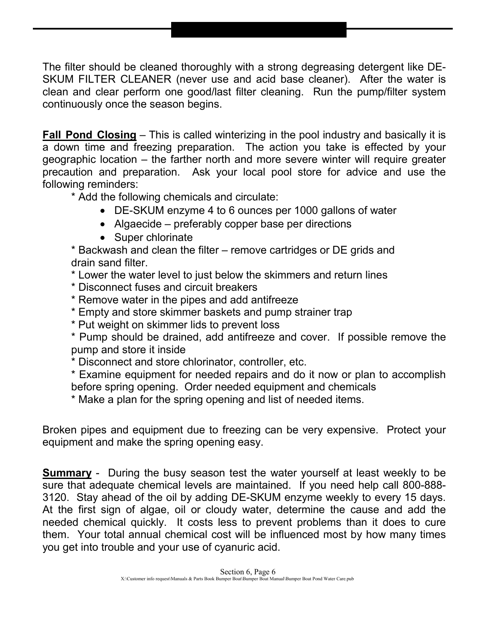The filter should be cleaned thoroughly with a strong degreasing detergent like DE-SKUM FILTER CLEANER (never use and acid base cleaner). After the water is clean and clear perform one good/last filter cleaning. Run the pump/filter system continuously once the season begins.

**Fall Pond Closing** – This is called winterizing in the pool industry and basically it is a down time and freezing preparation. The action you take is effected by your geographic location – the farther north and more severe winter will require greater precaution and preparation. Ask your local pool store for advice and use the following reminders:

\* Add the following chemicals and circulate:

- DE-SKUM enzyme 4 to 6 ounces per 1000 gallons of water
- Algaecide preferably copper base per directions
- Super chlorinate

\* Backwash and clean the filter – remove cartridges or DE grids and drain sand filter.

- \* Lower the water level to just below the skimmers and return lines
- \* Disconnect fuses and circuit breakers
- \* Remove water in the pipes and add antifreeze
- \* Empty and store skimmer baskets and pump strainer trap
- \* Put weight on skimmer lids to prevent loss

\* Pump should be drained, add antifreeze and cover. If possible remove the pump and store it inside

\* Disconnect and store chlorinator, controller, etc.

\* Examine equipment for needed repairs and do it now or plan to accomplish before spring opening. Order needed equipment and chemicals

\* Make a plan for the spring opening and list of needed items.

Broken pipes and equipment due to freezing can be very expensive. Protect your equipment and make the spring opening easy.

**Summary** - During the busy season test the water yourself at least weekly to be sure that adequate chemical levels are maintained. If you need help call 800-888- 3120. Stay ahead of the oil by adding DE-SKUM enzyme weekly to every 15 days. At the first sign of algae, oil or cloudy water, determine the cause and add the needed chemical quickly. It costs less to prevent problems than it does to cure them. Your total annual chemical cost will be influenced most by how many times you get into trouble and your use of cyanuric acid.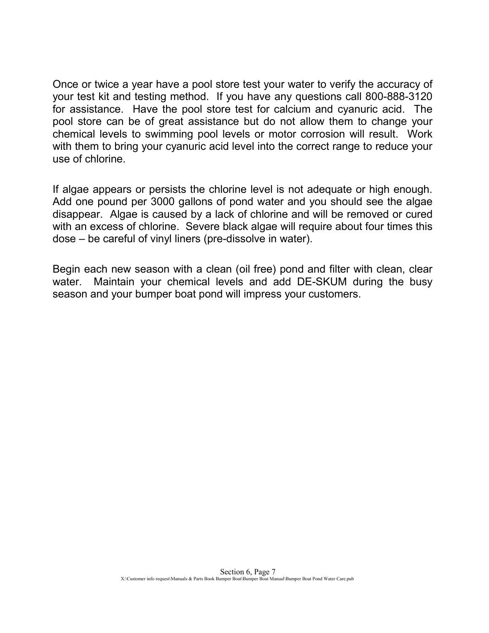Once or twice a year have a pool store test your water to verify the accuracy of your test kit and testing method. If you have any questions call 800-888-3120 for assistance. Have the pool store test for calcium and cyanuric acid. The pool store can be of great assistance but do not allow them to change your chemical levels to swimming pool levels or motor corrosion will result. Work with them to bring your cyanuric acid level into the correct range to reduce your use of chlorine.

If algae appears or persists the chlorine level is not adequate or high enough. Add one pound per 3000 gallons of pond water and you should see the algae disappear. Algae is caused by a lack of chlorine and will be removed or cured with an excess of chlorine. Severe black algae will require about four times this dose – be careful of vinyl liners (pre-dissolve in water).

Begin each new season with a clean (oil free) pond and filter with clean, clear water. Maintain your chemical levels and add DE-SKUM during the busy season and your bumper boat pond will impress your customers.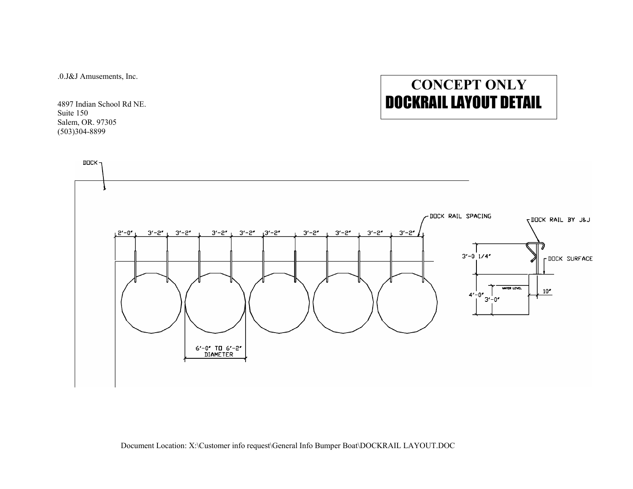.0.J&J Amusements, Inc.

4897 Indian School Rd NE. Suite 150 Salem, OR. 97305 (503)304-8899

# **CONCEPT ONLY**  DOCKRAIL LAYOUT DETAIL

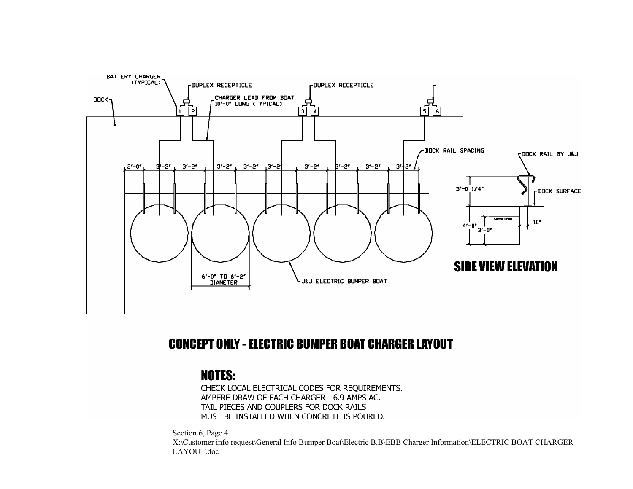

#### **CONCEPT ONLY - ELECTRIC BUMPER BOAT CHARGER LAYOUT**

### **NOTES:**

CHECK LOCAL ELECTRICAL CODES FOR REQUIREMENTS. AMPERE DRAW OF EACH CHARGER - 6.9 AMPS AC. TAIL PIECES AND COUPLERS FOR DOCK RAILS MUST BE INSTALLED WHEN CONCRETE IS POURED.

Section 6, Page 4 X:\Customer info request\General Info Bumper Boat\Electric B.B\EBB Charger Information\ELECTRIC BOAT CHARGER LAYOUT.doc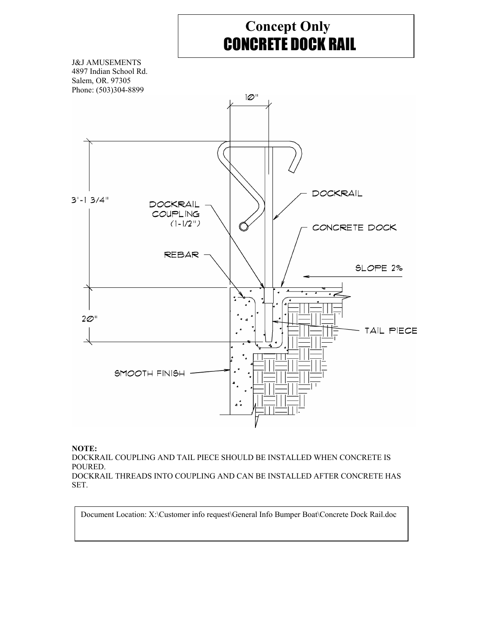## **Concept Only**  CONCRETE DOCK RAIL



#### **NOTE:**

DOCKRAIL COUPLING AND TAIL PIECE SHOULD BE INSTALLED WHEN CONCRETE IS POURED. DOCKRAIL THREADS INTO COUPLING AND CAN BE INSTALLED AFTER CONCRETE HAS SET.

Document Location: X:\Customer info request\General Info Bumper Boat\Concrete Dock Rail.doc